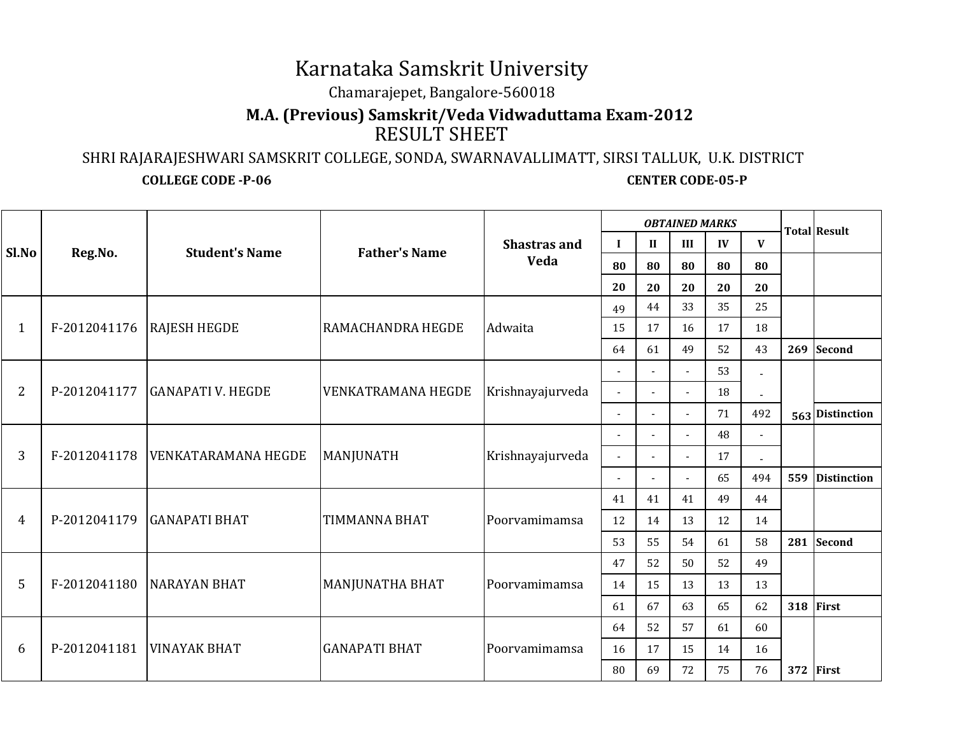## Karnataka Samskrit University

Chamarajepet, Bangalore-560018

## **M.A. (Previous) Samskrit/Veda Vidwaduttama Exam-2012**RESULT SHEET

 SHRI RAJARAJESHWARI SAMSKRIT COLLEGE, SONDA, SWARNAVALLIMATT, SIRSI TALLUK, U.K. DISTRICT**COLLEGE CODE -P-06** CENTER CODE-05-P

| Sl.No          | Reg.No.      | <b>Student's Name</b>       | <b>Father's Name</b>      | <b>Shastras and</b><br>Veda | <b>OBTAINED MARKS</b>    |                |                          |    |     |     | <b>Total Result</b> |
|----------------|--------------|-----------------------------|---------------------------|-----------------------------|--------------------------|----------------|--------------------------|----|-----|-----|---------------------|
|                |              |                             |                           |                             | $\mathbf I$              | $\mathbf{I}$   | III                      | IV | V   |     |                     |
|                |              |                             |                           |                             | 80                       | 80             | 80                       | 80 | 80  |     |                     |
|                |              |                             |                           |                             | 20                       | 20             | 20                       | 20 | 20  |     |                     |
| $\mathbf{1}$   | F-2012041176 | <b>RAJESH HEGDE</b>         | RAMACHANDRA HEGDE         | Adwaita                     | 49                       | 44             | 33                       | 35 | 25  |     |                     |
|                |              |                             |                           |                             | 15                       | 17             | 16                       | 17 | 18  |     |                     |
|                |              |                             |                           |                             | 64                       | 61             | 49                       | 52 | 43  |     | 269 Second          |
| $\overline{2}$ | P-2012041177 | <b>GANAPATI V. HEGDE</b>    | <b>VENKATRAMANA HEGDE</b> | Krishnayajurveda            | $\sim$                   |                | $\overline{a}$           | 53 |     |     |                     |
|                |              |                             |                           |                             | $\sim$                   |                | $\overline{a}$           | 18 |     |     |                     |
|                |              |                             |                           |                             | $\sim$                   | ÷,             | $\sim$                   | 71 | 492 |     | 563 Distinction     |
| 3              | F-2012041178 | <b>VENKATARAMANA HEGDE</b>  | MANJUNATH                 | Krishnayajurveda            |                          |                | $\overline{a}$           | 48 | L,  |     |                     |
|                |              |                             |                           |                             | $\blacksquare$           | $\blacksquare$ | $\overline{\phantom{a}}$ | 17 |     |     |                     |
|                |              |                             |                           |                             | $\overline{\phantom{a}}$ | $\overline{a}$ | $\mathbf{r}$             | 65 | 494 | 559 | <b>Distinction</b>  |
| 4              | P-2012041179 | <b>GANAPATI BHAT</b>        | <b>TIMMANNA BHAT</b>      | Poorvamimamsa               | 41                       | 41             | 41                       | 49 | 44  |     |                     |
|                |              |                             |                           |                             | 12                       | 14             | 13                       | 12 | 14  |     |                     |
|                |              |                             |                           |                             | 53                       | 55             | 54                       | 61 | 58  | 281 | Second              |
| 5              | F-2012041180 | <b>NARAYAN BHAT</b>         | MANJUNATHA BHAT           | Poorvamimamsa               | 47                       | 52             | 50                       | 52 | 49  |     |                     |
|                |              |                             |                           |                             | 14                       | 15             | 13                       | 13 | 13  |     |                     |
|                |              |                             |                           |                             | 61                       | 67             | 63                       | 65 | 62  |     | 318 First           |
| 6              |              | P-2012041181   VINAYAK BHAT | <b>GANAPATI BHAT</b>      | Poorvamimamsa               | 64                       | 52             | 57                       | 61 | 60  |     |                     |
|                |              |                             |                           |                             | 16                       | 17             | 15                       | 14 | 16  |     |                     |
|                |              |                             |                           |                             | 80                       | 69             | 72                       | 75 | 76  |     | 372 First           |